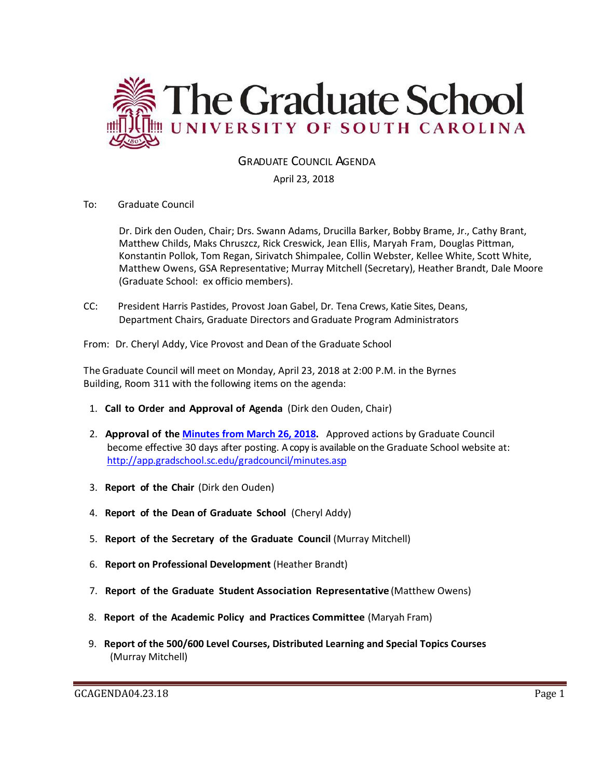

# GRADUATE COUNCIL AGENDA

## April 23, 2018

To: Graduate Council

Dr. Dirk den Ouden, Chair; Drs. Swann Adams, Drucilla Barker, Bobby Brame, Jr., Cathy Brant, Matthew Childs, Maks Chruszcz, Rick Creswick, Jean Ellis, Maryah Fram, Douglas Pittman, Konstantin Pollok, Tom Regan, Sirivatch Shimpalee, Collin Webster, Kellee White, Scott White, Matthew Owens, GSA Representative; Murray Mitchell (Secretary), Heather Brandt, Dale Moore (Graduate School: ex officio members).

CC: President Harris Pastides, Provost Joan Gabel, Dr. Tena Crews, Katie Sites, Deans, Department Chairs, Graduate Directors and Graduate Program Administrators

From: Dr. Cheryl Addy, Vice Provost and Dean of the Graduate School

The Graduate Council will meet on Monday, April 23, 2018 at 2:00 P.M. in the Byrnes Building, Room 311 with the following items on the agenda:

- 1. **Call to Order and Approval of Agenda** (Dirk den Ouden, Chair)
- 2. **Approval of the [Minutes from March](GCMIN%203.26.18MM2w4attachments.pdf) 26, 2018.** Approved actions by Graduate Council become effective 30 days after posting. A copy is available on the Graduate School website at: <http://app.gradschool.sc.edu/gradcouncil/minutes.asp>
- 3. **Report of the Chair** (Dirk den Ouden)
- 4. **Report of the Dean of Graduate School** (Cheryl Addy)
- 5. **Report of the Secretary of the Graduate Council** (Murray Mitchell)
- 6. **Report on Professional Development** (Heather Brandt)
- 7. **Report of the Graduate Student Association Representative** (Matthew Owens)
- 8. **Report of the Academic Policy and Practices Committee** (Maryah Fram)
- 9. **Report of the 500/600 Level Courses, Distributed Learning and Special Topics Courses** (Murray Mitchell)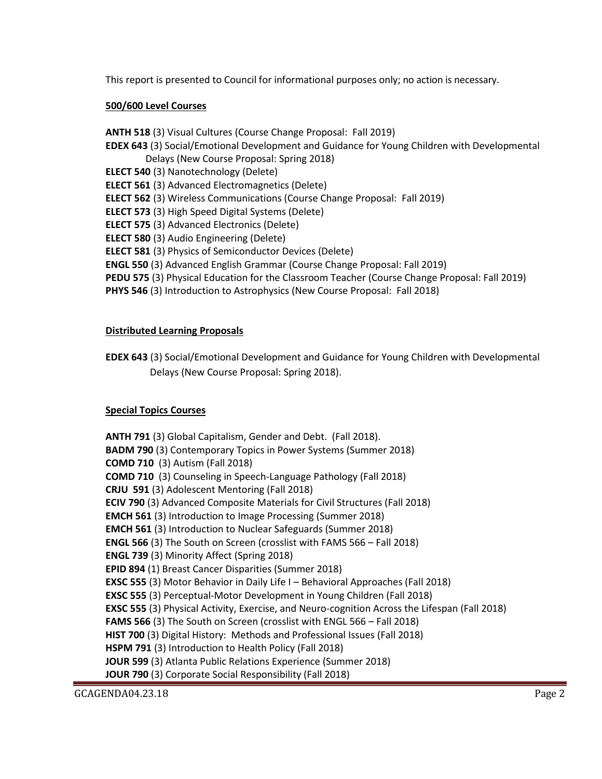This report is presented to Council for informational purposes only; no action is necessary.

### **500/600 Level Courses**

**ANTH 518** (3) Visual Cultures (Course Change Proposal: Fall 2019) **EDEX 643** (3) Social/Emotional Development and Guidance for Young Children with Developmental Delays (New Course Proposal: Spring 2018) **ELECT 540** (3) Nanotechnology (Delete) **ELECT 561** (3) Advanced Electromagnetics (Delete) **ELECT 562** (3) Wireless Communications (Course Change Proposal: Fall 2019) **ELECT 573** (3) High Speed Digital Systems (Delete) **ELECT 575** (3) Advanced Electronics (Delete) **ELECT 580** (3) Audio Engineering (Delete) **ELECT 581** (3) Physics of Semiconductor Devices (Delete) **ENGL 550** (3) Advanced English Grammar (Course Change Proposal: Fall 2019) **PEDU 575** (3) Physical Education for the Classroom Teacher (Course Change Proposal: Fall 2019) **PHYS 546** (3) Introduction to Astrophysics (New Course Proposal: Fall 2018)

### **Distributed Learning Proposals**

**EDEX 643** (3) Social/Emotional Development and Guidance for Young Children with Developmental Delays (New Course Proposal: Spring 2018).

## **Special Topics Courses**

**ANTH 791** (3) Global Capitalism, Gender and Debt. (Fall 2018). **BADM 790** (3) Contemporary Topics in Power Systems (Summer 2018) **COMD 710** (3) Autism (Fall 2018) **COMD 710** (3) Counseling in Speech-Language Pathology (Fall 2018) **CRJU 591** (3) Adolescent Mentoring (Fall 2018) **ECIV 790** (3) Advanced Composite Materials for Civil Structures (Fall 2018) **EMCH 561** (3) Introduction to Image Processing (Summer 2018) **EMCH 561** (3) Introduction to Nuclear Safeguards (Summer 2018) **ENGL 566** (3) The South on Screen (crosslist with FAMS 566 – Fall 2018) **ENGL 739** (3) Minority Affect (Spring 2018) **EPID 894** (1) Breast Cancer Disparities (Summer 2018) **EXSC 555** (3) Motor Behavior in Daily Life I – Behavioral Approaches (Fall 2018) **EXSC 555** (3) Perceptual-Motor Development in Young Children (Fall 2018) **EXSC 555** (3) Physical Activity, Exercise, and Neuro-cognition Across the Lifespan (Fall 2018) **FAMS 566** (3) The South on Screen (crosslist with ENGL 566 – Fall 2018) **HIST 700** (3) Digital History: Methods and Professional Issues (Fall 2018) **HSPM 791** (3) Introduction to Health Policy (Fall 2018) **JOUR 599** (3) Atlanta Public Relations Experience (Summer 2018) **JOUR 790** (3) Corporate Social Responsibility (Fall 2018)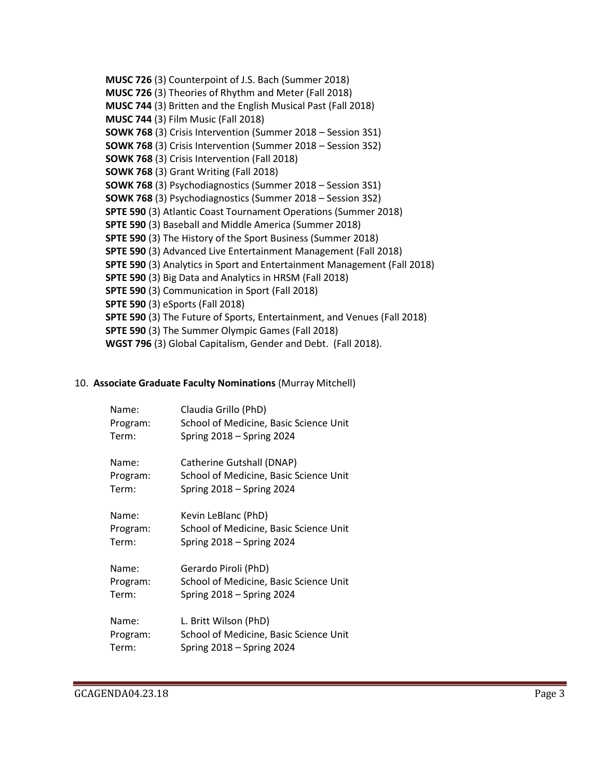**MUSC 726** (3) Counterpoint of J.S. Bach (Summer 2018) **MUSC 726** (3) Theories of Rhythm and Meter (Fall 2018) **MUSC 744** (3) Britten and the English Musical Past (Fall 2018) **MUSC 744** (3) Film Music (Fall 2018) **SOWK 768** (3) Crisis Intervention (Summer 2018 – Session 3S1) **SOWK 768** (3) Crisis Intervention (Summer 2018 – Session 3S2) **SOWK 768** (3) Crisis Intervention (Fall 2018) **SOWK 768** (3) Grant Writing (Fall 2018) **SOWK 768** (3) Psychodiagnostics (Summer 2018 – Session 3S1) **SOWK 768** (3) Psychodiagnostics (Summer 2018 – Session 3S2) **SPTE 590** (3) Atlantic Coast Tournament Operations (Summer 2018) **SPTE 590** (3) Baseball and Middle America (Summer 2018) **SPTE 590** (3) The History of the Sport Business (Summer 2018) **SPTE 590** (3) Advanced Live Entertainment Management (Fall 2018) **SPTE 590** (3) Analytics in Sport and Entertainment Management (Fall 2018) **SPTE 590** (3) Big Data and Analytics in HRSM (Fall 2018) **SPTE 590** (3) Communication in Sport (Fall 2018) **SPTE 590** (3) eSports (Fall 2018) **SPTE 590** (3) The Future of Sports, Entertainment, and Venues (Fall 2018) **SPTE 590** (3) The Summer Olympic Games (Fall 2018) **WGST 796** (3) Global Capitalism, Gender and Debt. (Fall 2018).

#### 10. **Associate Graduate Faculty Nominations** (Murray Mitchell)

| Name:    | Claudia Grillo (PhD)                   |
|----------|----------------------------------------|
| Program: | School of Medicine, Basic Science Unit |
| Term:    | Spring 2018 - Spring 2024              |
| Name:    | Catherine Gutshall (DNAP)              |
| Program: | School of Medicine, Basic Science Unit |
| Term:    | Spring 2018 - Spring 2024              |
| Name:    | Kevin LeBlanc (PhD)                    |
| Program: | School of Medicine, Basic Science Unit |
| Term:    | Spring $2018 -$ Spring 2024            |
| Name:    | Gerardo Piroli (PhD)                   |
| Program: | School of Medicine, Basic Science Unit |
| Term:    | Spring 2018 - Spring 2024              |
| Name:    | L. Britt Wilson (PhD)                  |
| Program: | School of Medicine, Basic Science Unit |
| Term:    | Spring 2018 - Spring 2024              |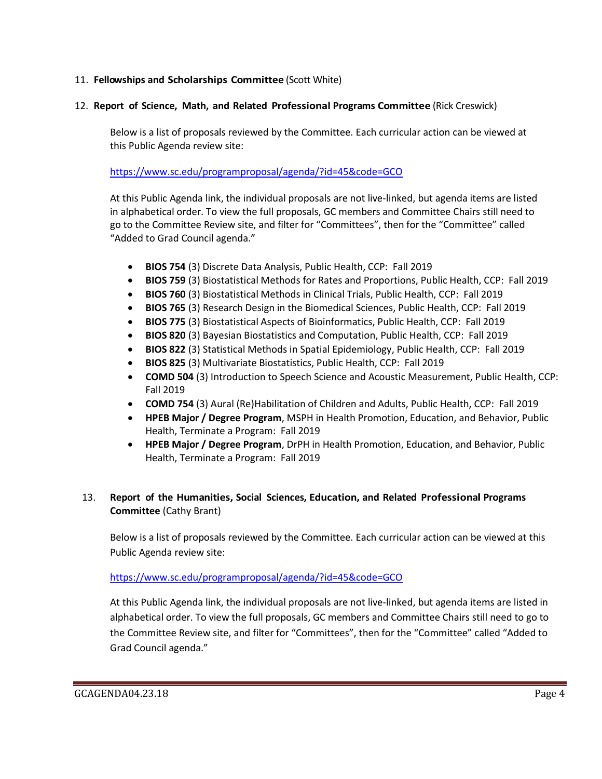## 11. **Fellowships and Scholarships Committee** (Scott White)

#### 12. **Report of Science, Math, and Related Professional Programs Committee** (Rick Creswick)

Below is a list of proposals reviewed by the Committee. Each curricular action can be viewed at this Public Agenda review site:

### <https://www.sc.edu/programproposal/agenda/?id=45&code=GCO>

At this Public Agenda link, the individual proposals are not live-linked, but agenda items are listed in alphabetical order. To view the full proposals, GC members and Committee Chairs still need to go to the Committee Review site, and filter for "Committees", then for the "Committee" called "Added to Grad Council agenda."

- **BIOS 754** (3) Discrete Data Analysis, Public Health, CCP: Fall 2019
- **BIOS 759** (3) Biostatistical Methods for Rates and Proportions, Public Health, CCP: Fall 2019
- **BIOS 760** (3) Biostatistical Methods in Clinical Trials, Public Health, CCP: Fall 2019
- **BIOS 765** (3) Research Design in the Biomedical Sciences, Public Health, CCP: Fall 2019
- **BIOS 775** (3) Biostatistical Aspects of Bioinformatics, Public Health, CCP: Fall 2019
- **BIOS 820** (3) Bayesian Biostatistics and Computation, Public Health, CCP: Fall 2019
- **BIOS 822** (3) Statistical Methods in Spatial Epidemiology, Public Health, CCP: Fall 2019
- **BIOS 825** (3) Multivariate Biostatistics, Public Health, CCP: Fall 2019
- **COMD 504** (3) Introduction to Speech Science and Acoustic Measurement, Public Health, CCP: Fall 2019
- **COMD 754** (3) Aural (Re)Habilitation of Children and Adults, Public Health, CCP: Fall 2019
- **HPEB Major / Degree Program**, MSPH in Health Promotion, Education, and Behavior, Public Health, Terminate a Program: Fall 2019
- **HPEB Major / Degree Program**, DrPH in Health Promotion, Education, and Behavior, Public Health, Terminate a Program: Fall 2019

## 13. **Report of the Humanities, Social Sciences, Education, and Related Professional Programs Committee** (Cathy Brant)

Below is a list of proposals reviewed by the Committee. Each curricular action can be viewed at this Public Agenda review site:

#### <https://www.sc.edu/programproposal/agenda/?id=45&code=GCO>

At this Public Agenda link, the individual proposals are not live-linked, but agenda items are listed in alphabetical order. To view the full proposals, GC members and Committee Chairs still need to go to the Committee Review site, and filter for "Committees", then for the "Committee" called "Added to Grad Council agenda."